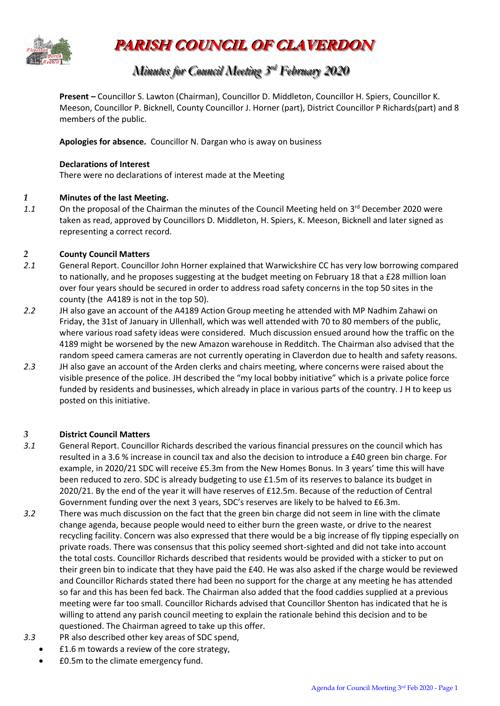

**PARISH COUNCIL OF CLAVERDON**

### *Minutes for Council Meeting 3 r rdd February 2020*

**Present –** Councillor S. Lawton (Chairman), Councillor D. Middleton, Councillor H. Spiers, Councillor K. Meeson, Councillor P. Bicknell, County Councillor J. Horner (part), District Councillor P Richards(part) and 8 members of the public.

**Apologies for absence.** Councillor N. Dargan who is away on business

#### **Declarations of Interest**

There were no declarations of interest made at the Meeting

#### *1* **Minutes of the last Meeting.**

1.1 On the proposal of the Chairman the minutes of the Council Meeting held on 3<sup>rd</sup> December 2020 were taken as read, approved by Councillors D. Middleton, H. Spiers, K. Meeson, Bicknell and later signed as representing a correct record.

#### *2* **County Council Matters**

- *2.1* General Report. Councillor John Horner explained that Warwickshire CC has very low borrowing compared to nationally, and he proposes suggesting at the budget meeting on February 18 that a £28 million loan over four years should be secured in order to address road safety concerns in the top 50 sites in the county (the A4189 is not in the top 50).
- *2.2* JH also gave an account of the A4189 Action Group meeting he attended with MP Nadhim Zahawi on Friday, the 31st of January in Ullenhall, which was well attended with 70 to 80 members of the public, where various road safety ideas were considered. Much discussion ensued around how the traffic on the 4189 might be worsened by the new Amazon warehouse in Redditch. The Chairman also advised that the random speed camera cameras are not currently operating in Claverdon due to health and safety reasons*.*
- *2.3* JH also gave an account of the Arden clerks and chairs meeting, where concerns were raised about the visible presence of the police. JH described the "my local bobby initiative" which is a private police force funded by residents and businesses, which already in place in various parts of the country. J H to keep us posted on this initiative.

#### *3* **District Council Matters**

- *3.1* General Report. Councillor Richards described the various financial pressures on the council which has resulted in a 3.6 % increase in council tax and also the decision to introduce a £40 green bin charge. For example, in 2020/21 SDC will receive £5.3m from the New Homes Bonus. In 3 years' time this will have been reduced to zero. SDC is already budgeting to use £1.5m of its reserves to balance its budget in 2020/21. By the end of the year it will have reserves of £12.5m. Because of the reduction of Central Government funding over the next 3 years, SDC's reserves are likely to be halved to £6.3m.
- *3.2* There was much discussion on the fact that the green bin charge did not seem in line with the climate change agenda, because people would need to either burn the green waste, or drive to the nearest recycling facility. Concern was also expressed that there would be a big increase of fly tipping especially on private roads. There was consensus that this policy seemed short-sighted and did not take into account the total costs. Councillor Richards described that residents would be provided with a sticker to put on their green bin to indicate that they have paid the £40. He was also asked if the charge would be reviewed and Councillor Richards stated there had been no support for the charge at any meeting he has attended so far and this has been fed back. The Chairman also added that the food caddies supplied at a previous meeting were far too small. Councillor Richards advised that Councillor Shenton has indicated that he is willing to attend any parish council meeting to explain the rationale behind this decision and to be questioned. The Chairman agreed to take up this offer.
- *3.3* PR also described other key areas of SDC spend,
	- £1.6 m towards a review of the core strategy,
	- £0.5m to the climate emergency fund.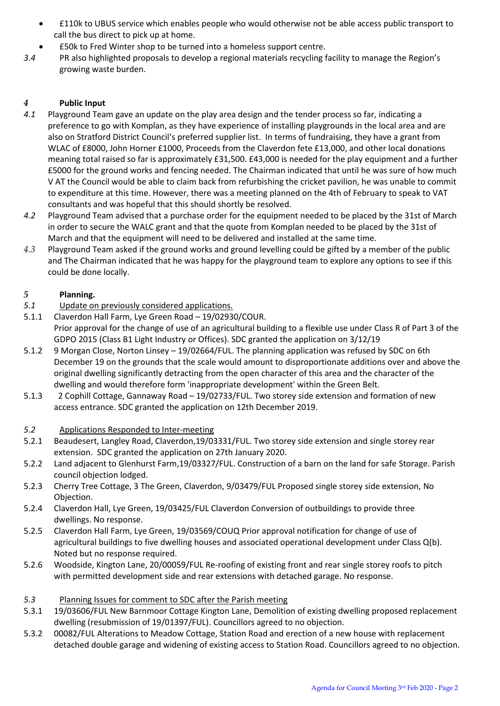- £110k to UBUS service which enables people who would otherwise not be able access public transport to call the bus direct to pick up at home.
- £50k to Fred Winter shop to be turned into a homeless support centre.
- *3.4* PR also highlighted proposals to develop a regional materials recycling facility to manage the Region's growing waste burden.

#### *4* **Public Input**

- *4.1* Playground Team gave an update on the play area design and the tender process so far, indicating a preference to go with Komplan, as they have experience of installing playgrounds in the local area and are also on Stratford District Council's preferred supplier list. In terms of fundraising, they have a grant from WLAC of £8000, John Horner £1000, Proceeds from the Claverdon fete £13,000, and other local donations meaning total raised so far is approximately £31,500. £43,000 is needed for the play equipment and a further £5000 for the ground works and fencing needed. The Chairman indicated that until he was sure of how much V AT the Council would be able to claim back from refurbishing the cricket pavilion, he was unable to commit to expenditure at this time. However, there was a meeting planned on the 4th of February to speak to VAT consultants and was hopeful that this should shortly be resolved.
- *4.2* Playground Team advised that a purchase order for the equipment needed to be placed by the 31st of March in order to secure the WALC grant and that the quote from Komplan needed to be placed by the 31st of March and that the equipment will need to be delivered and installed at the same time.
- *4.3* Playground Team asked if the ground works and ground levelling could be gifted by a member of the public and The Chairman indicated that he was happy for the playground team to explore any options to see if this could be done locally.

#### *5* **Planning.**

- *5.1* Update on previously considered applications.
- 5.1.1 Claverdon Hall Farm, Lye Green Road 19/02930/COUR. Prior approval for the change of use of an agricultural building to a flexible use under Class R of Part 3 of the GDPO 2015 (Class B1 Light Industry or Offices). SDC granted the application on 3/12/19
- 5.1.2 9 Morgan Close, Norton Linsey 19/02664/FUL. The planning application was refused by SDC on 6th December 19 on the grounds that the scale would amount to disproportionate additions over and above the original dwelling significantly detracting from the open character of this area and the character of the dwelling and would therefore form 'inappropriate development' within the Green Belt.
- 5.1.3 2 Cophill Cottage, Gannaway Road 19/02733/FUL. Two storey side extension and formation of new access entrance. SDC granted the application on 12th December 2019.
- *5.2* Applications Responded to Inter-meeting
- 5.2.1 Beaudesert, Langley Road, Claverdon,19/03331/FUL. Two storey side extension and single storey rear extension. SDC granted the application on 27th January 2020.
- 5.2.2 Land adjacent to Glenhurst Farm,19/03327/FUL. Construction of a barn on the land for safe Storage. Parish council objection lodged.
- 5.2.3 Cherry Tree Cottage, 3 The Green, Claverdon, 9/03479/FUL Proposed single storey side extension, No Objection.
- 5.2.4 Claverdon Hall, Lye Green, 19/03425/FUL Claverdon Conversion of outbuildings to provide three dwellings. No response.
- 5.2.5 Claverdon Hall Farm, Lye Green, 19/03569/COUQ Prior approval notification for change of use of agricultural buildings to five dwelling houses and associated operational development under Class Q(b). Noted but no response required.
- 5.2.6 Woodside, Kington Lane, 20/00059/FUL Re-roofing of existing front and rear single storey roofs to pitch with permitted development side and rear extensions with detached garage. No response.

#### *5.3* Planning Issues for comment to SDC after the Parish meeting

- 5.3.1 19/03606/FUL New Barnmoor Cottage Kington Lane, Demolition of existing dwelling proposed replacement dwelling (resubmission of 19/01397/FUL). Councillors agreed to no objection.
- 5.3.2 00082/FUL Alterations to Meadow Cottage, Station Road and erection of a new house with replacement detached double garage and widening of existing access to Station Road. Councillors agreed to no objection.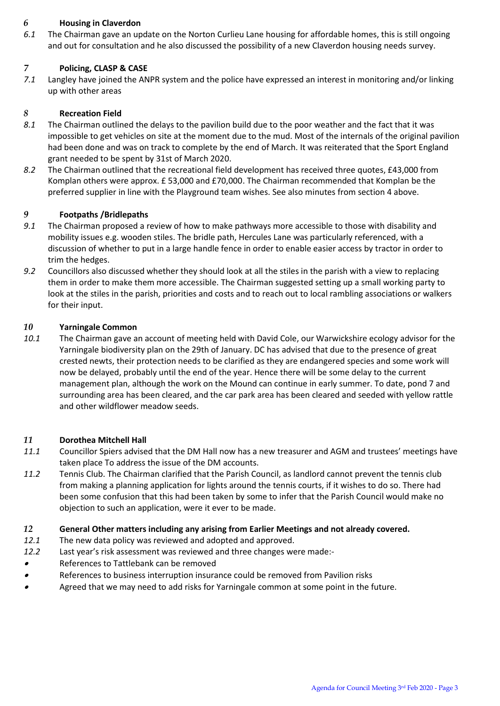#### *6* **Housing in Claverdon**

*6.1* The Chairman gave an update on the Norton Curlieu Lane housing for affordable homes, this is still ongoing and out for consultation and he also discussed the possibility of a new Claverdon housing needs survey.

#### *7* **Policing, CLASP & CASE**

*7.1* Langley have joined the ANPR system and the police have expressed an interest in monitoring and/or linking up with other areas

#### *8* **Recreation Field**

- *8.1* The Chairman outlined the delays to the pavilion build due to the poor weather and the fact that it was impossible to get vehicles on site at the moment due to the mud. Most of the internals of the original pavilion had been done and was on track to complete by the end of March. It was reiterated that the Sport England grant needed to be spent by 31st of March 2020.
- *8.2* The Chairman outlined that the recreational field development has received three quotes, £43,000 from Komplan others were approx. £ 53,000 and £70,000. The Chairman recommended that Komplan be the preferred supplier in line with the Playground team wishes. See also minutes from section 4 above.

#### *9* **Footpaths /Bridlepaths**

- *9.1* The Chairman proposed a review of how to make pathways more accessible to those with disability and mobility issues e.g. wooden stiles. The bridle path, Hercules Lane was particularly referenced, with a discussion of whether to put in a large handle fence in order to enable easier access by tractor in order to trim the hedges.
- *9.2* Councillors also discussed whether they should look at all the stiles in the parish with a view to replacing them in order to make them more accessible. The Chairman suggested setting up a small working party to look at the stiles in the parish, priorities and costs and to reach out to local rambling associations or walkers for their input.

#### *10* **Yarningale Common**

*10.1* The Chairman gave an account of meeting held with David Cole, our Warwickshire ecology advisor for the Yarningale biodiversity plan on the 29th of January. DC has advised that due to the presence of great crested newts, their protection needs to be clarified as they are endangered species and some work will now be delayed, probably until the end of the year. Hence there will be some delay to the current management plan, although the work on the Mound can continue in early summer. To date, pond 7 and surrounding area has been cleared, and the car park area has been cleared and seeded with yellow rattle and other wildflower meadow seeds.

#### *11* **Dorothea Mitchell Hall**

- *11.1* Councillor Spiers advised that the DM Hall now has a new treasurer and AGM and trustees' meetings have taken place To address the issue of the DM accounts.
- *11.2* Tennis Club. The Chairman clarified that the Parish Council, as landlord cannot prevent the tennis club from making a planning application for lights around the tennis courts, if it wishes to do so. There had been some confusion that this had been taken by some to infer that the Parish Council would make no objection to such an application, were it ever to be made.

#### *12* **General Other matters including any arising from Earlier Meetings and not already covered.**

- *12.1* The new data policy was reviewed and adopted and approved.
- *12.2* Last year's risk assessment was reviewed and three changes were made:-
- •References to Tattlebank can be removed
- •References to business interruption insurance could be removed from Pavilion risks
- •Agreed that we may need to add risks for Yarningale common at some point in the future.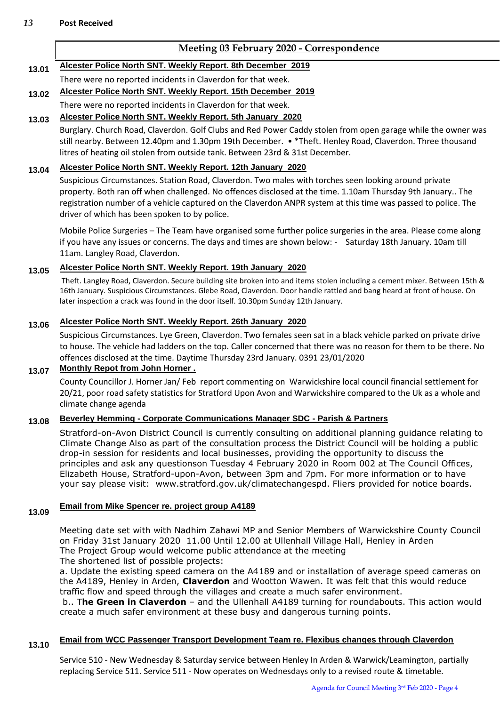#### **Meeting 03 February 2020 - Correspondence**

#### **13.01 Alcester Police North SNT. Weekly Report. 8th December 2019**

There were no reported incidents in Claverdon for that week.

#### **13.02 Alcester Police North SNT. Weekly Report. 15th December 2019**

There were no reported incidents in Claverdon for that week.

#### **13.03 Alcester Police North SNT. Weekly Report. 5th January 2020**

Burglary. Church Road, Claverdon. Golf Clubs and Red Power Caddy stolen from open garage while the owner was still nearby. Between 12.40pm and 1.30pm 19th December. • \*Theft. Henley Road, Claverdon. Three thousand litres of heating oil stolen from outside tank. Between 23rd & 31st December.

#### **13.04 Alcester Police North SNT. Weekly Report. 12th January 2020**

Suspicious Circumstances. Station Road, Claverdon. Two males with torches seen looking around private property. Both ran off when challenged. No offences disclosed at the time. 1.10am Thursday 9th January.. The registration number of a vehicle captured on the Claverdon ANPR system at this time was passed to police. The driver of which has been spoken to by police.

Mobile Police Surgeries – The Team have organised some further police surgeries in the area. Please come along if you have any issues or concerns. The days and times are shown below: - Saturday 18th January. 10am till 11am. Langley Road, Claverdon.

#### **13.05 Alcester Police North SNT. Weekly Report. 19th January 2020**

Theft. Langley Road, Claverdon. Secure building site broken into and items stolen including a cement mixer. Between 15th & 16th January. Suspicious Circumstances. Glebe Road, Claverdon. Door handle rattled and bang heard at front of house. On later inspection a crack was found in the door itself. 10.30pm Sunday 12th January.

#### **13.06 Alcester Police North SNT. Weekly Report. 26th January 2020**

Suspicious Circumstances. Lye Green, Claverdon. Two females seen sat in a black vehicle parked on private drive to house. The vehicle had ladders on the top. Caller concerned that there was no reason for them to be there. No offences disclosed at the time. Daytime Thursday 23rd January. 0391 23/01/2020

#### **13.07 Monthly Repot from John Horner .**

County Councillor J. Horner Jan/ Feb report commenting on Warwickshire local council financial settlement for 20/21, poor road safety statistics for Stratford Upon Avon and Warwickshire compared to the Uk as a whole and climate change agenda

#### **13.08 Beverley Hemming - Corporate Communications Manager SDC - Parish & Partners**

[Stratford-on-Avon District Council is currently consulting on additional planning guidance relating to](https://www.stratford.gov.uk/news/press.cfm/current/1/item/137079)  [Climate Change Also as part of the consultation process the District Council will be holding a public](https://www.stratford.gov.uk/news/press.cfm/current/1/item/137079)  [drop-in session for residents and local businesses, providing the opportunity to discuss the](https://www.stratford.gov.uk/news/press.cfm/current/1/item/137079)  [principles and ask any questionson](https://www.stratford.gov.uk/news/press.cfm/current/1/item/137079) Tuesday 4 February 2020 in Room 002 at The Council Offices, [Elizabeth House, Stratford-upon-Avon, between](https://www.stratford.gov.uk/news/press.cfm/current/1/item/137079) 3pm and 7pm. For more information or to have your say please visit: [www.stratford.gov.uk/climatechangespd. Fliers provided for notice boards.](https://www.stratford.gov.uk/news/press.cfm/current/1/item/137079)

#### **13.09 Email from Mike Spencer re. project group A4189**

Meeting date set with with Nadhim Zahawi MP and Senior Members of Warwickshire County Council on Friday 31st January 2020 11.00 Until 12.00 at Ullenhall Village Hall, Henley in Arden The Project Group would welcome public attendance at the meeting

The shortened list of possible projects:

a. Update the existing speed camera on the A4189 and or installation of average speed cameras on the A4189, Henley in Arden, **Claverdon** and Wootton Wawen. It was felt that this would reduce traffic flow and speed through the villages and create a much safer environment.

b.. T**he Green in Claverdon** – and the Ullenhall A4189 turning for roundabouts. This action would create a much safer environment at these busy and dangerous turning points.

### **13.10 Email from WCC Passenger Transport Development Team re. Flexibus changes through Claverdon**

Service 510 - New Wednesday & Saturday service between Henley In Arden & Warwick/Leamington, partially replacing Service 511. Service 511 - Now operates on Wednesdays only to a revised route & timetable.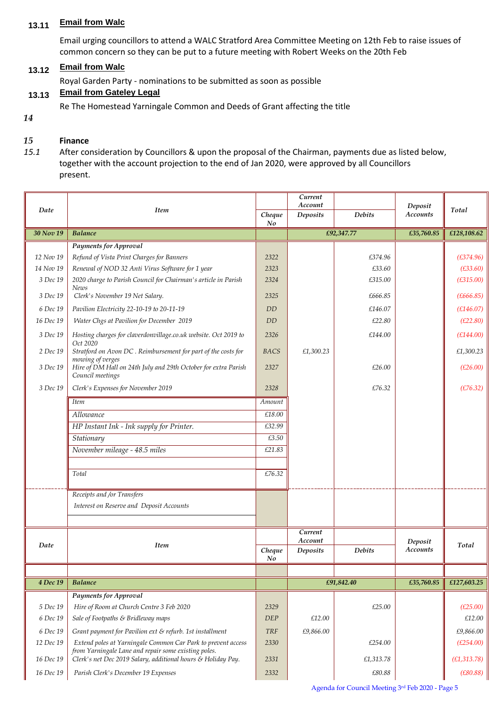#### **13.11 Email from Walc**

Email urging councillors to attend a WALC Stratford Area Committee Meeting on 12th Feb to raise issues of common concern so they can be put to a future meeting with Robert Weeks on the 20th Feb

#### **13.12 Email from Walc**

Royal Garden Party - nominations to be submitted as soon as possible

#### **13.13 Email from Gateley Legal**

Re The Homestead Yarningale Common and Deeds of Grant affecting the title

*14*

#### *15* **Finance**

*15.1* After consideration by Councillors & upon the proposal of the Chairman, payments due as listed below, together with the account projection to the end of Jan 2020, were approved by all Councillors present.

|           |                                                                                                                      |             | Current<br>Account  |               |                            |              |
|-----------|----------------------------------------------------------------------------------------------------------------------|-------------|---------------------|---------------|----------------------------|--------------|
| Date      | Item                                                                                                                 | Cheque      | Deposits            | <b>Debits</b> | Deposit<br><b>Accounts</b> | Total        |
| 30 Nov 19 | <b>Balance</b>                                                                                                       | No          | £92,347.77          |               | £35,760.85                 | £128,108.62  |
|           | <b>Payments for Approval</b>                                                                                         |             |                     |               |                            |              |
| 12 Nov 19 | Refund of Vista Print Charges for Banners                                                                            | 2322        |                     | £374.96       |                            | (E374.96)    |
| 14 Nov 19 | Renewal of NOD 32 Anti Virus Software for 1 year                                                                     | 2323        |                     | £33.60        |                            | (E33.60)     |
| 3 Dec 19  | 2020 charge to Parish Council for Chairman's article in Parish<br>News                                               | 2324        |                     | £315.00       |                            | (E315.00)    |
| 3 Dec 19  | Clerk's November 19 Net Salary.                                                                                      | 2325        |                     | £666.85       |                            | (E666.85)    |
| 6 Dec 19  | Pavilion Electricity 22-10-19 to 20-11-19                                                                            | <b>DD</b>   |                     | £146.07       |                            | (E146.07)    |
| 16 Dec 19 | Water Chgs at Pavilion for December 2019                                                                             | <b>DD</b>   |                     | £22.80        |                            | (E22.80)     |
| 3 Dec 19  | Hosting charges for claverdonvillage.co.uk website. Oct 2019 to<br>Oct 2020                                          | 2326        |                     | £144.00       |                            | (E144.00)    |
| 2 Dec 19  | Stratford on Avon DC . Reimbursement for part of the costs for<br>mowing of verges                                   | <b>BACS</b> | £1,300.23           |               |                            | £1,300.23    |
| 3 Dec 19  | Hire of DM Hall on 24th July and 29th October for extra Parish<br>Council meetings                                   | 2327        |                     | £26.00        |                            | (E26.00)     |
| 3 Dec 19  | Clerk's Expenses for November 2019                                                                                   | 2328        |                     | £76.32        |                            | (E76.32)     |
|           | <b>Item</b>                                                                                                          | Amount      |                     |               |                            |              |
|           | Allowance                                                                                                            | £18.00      |                     |               |                            |              |
|           | HP Instant Ink - Ink supply for Printer.                                                                             | £32.99      |                     |               |                            |              |
|           | Stationary                                                                                                           | £3.50       |                     |               |                            |              |
|           | November mileage - 48.5 miles                                                                                        | £21.83      |                     |               |                            |              |
|           | Total                                                                                                                | £76.32      |                     |               |                            |              |
|           | Receipts and /or Transfers                                                                                           |             |                     |               |                            |              |
|           | Interest on Reserve and Deposit Accounts                                                                             |             |                     |               |                            |              |
|           |                                                                                                                      |             | Current             |               |                            |              |
| Date      | <b>Item</b>                                                                                                          | Cheque      | Account<br>Deposits | <b>Debits</b> | Deposit<br><b>Accounts</b> | Total        |
|           |                                                                                                                      | No          |                     |               |                            |              |
|           |                                                                                                                      |             |                     |               |                            |              |
| 4 Dec 19  | <b>Balance</b>                                                                                                       |             | £91,842.40          |               | £35,760.85                 | £127,603.25  |
|           | <b>Payments for Approval</b>                                                                                         |             |                     |               |                            |              |
| 5 Dec 19  | Hire of Room at Church Centre 3 Feb 2020                                                                             | 2329        |                     | £25.00        |                            | (E25.00)     |
| 6 Dec 19  | Sale of Footpaths & Bridleway maps                                                                                   | <b>DEP</b>  | £12.00              |               |                            | £12.00       |
| 6 Dec 19  | Grant payment for Pavilion ext & refurb. 1st installment                                                             | <b>TRF</b>  | £9,866.00           |               |                            | £9,866.00    |
| 12 Dec 19 | Extend poles at Yarningale Common Car Park to prevent access<br>from Yarningale Lane and repair some existing poles. | 2330        |                     | £254.00       |                            | (E254.00)    |
| 16 Dec 19 | Clerk's net Dec 2019 Salary, additional hours & Holiday Pay.                                                         | 2331        |                     | £1,313.78     |                            | (E1, 313.78) |
| 16 Dec 19 | Parish Clerk's December 19 Expenses                                                                                  | 2332        |                     | £80.88        |                            | (E80.88)     |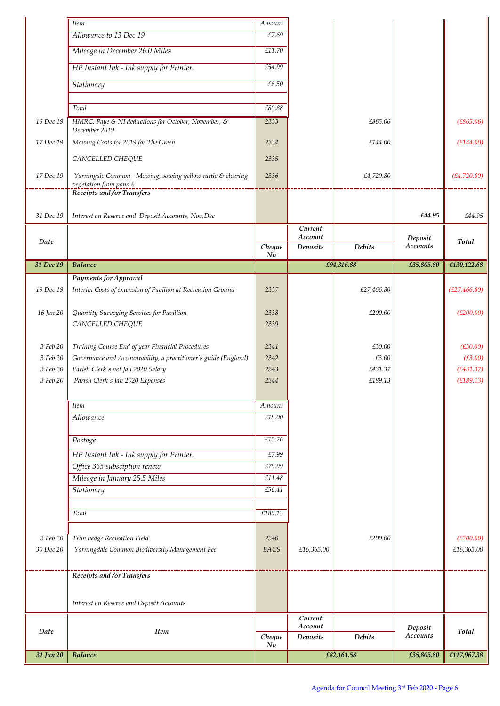|           | <b>Item</b>                                                                                                     | $A \emph{mount}$ |                    |               |                     |               |
|-----------|-----------------------------------------------------------------------------------------------------------------|------------------|--------------------|---------------|---------------------|---------------|
|           | Allowance to 13 Dec 19                                                                                          | £7.69            |                    |               |                     |               |
|           | Mileage in December 26.0 Miles                                                                                  | £11.70           |                    |               |                     |               |
|           | HP Instant Ink - Ink supply for Printer.                                                                        | £54.99           |                    |               |                     |               |
|           | Stationary                                                                                                      | £6.50            |                    |               |                     |               |
|           |                                                                                                                 |                  |                    |               |                     |               |
|           | Total                                                                                                           | £80.88           |                    |               |                     |               |
| 16 Dec 19 | HMRC. Paye & NI deductions for October, November, &<br>December 2019                                            | 2333             |                    | £865.06       |                     | (E865.06)     |
| 17 Dec 19 | Mowing Costs for 2019 for The Green                                                                             | 2334             |                    | £144.00       |                     | (E144.00)     |
|           | CANCELLED CHEQUE                                                                                                | 2335             |                    |               |                     |               |
| 17 Dec 19 | Yarningale Common - Mowing, sowing yellow rattle & clearing<br>vegetation from pond 6<br>---------------------- | 2336             |                    | £4,720.80     |                     | (E4, 720.80)  |
|           | Receipts and /or Transfers                                                                                      |                  |                    |               |                     |               |
| 31 Dec 19 | Interest on Reserve and Deposit Accounts, Nov, Dec                                                              |                  |                    |               | £44.95              | £44.95        |
|           |                                                                                                                 |                  | Current<br>Account |               |                     |               |
| Date      |                                                                                                                 | Cheque<br>No     | Deposits           | <b>Debits</b> | Deposit<br>Accounts | Total         |
| 31 Dec 19 | <b>Balance</b>                                                                                                  |                  |                    | £94,316.88    | £35,805.80          | £130,122.68   |
|           | <b>Payments for Approval</b>                                                                                    |                  |                    |               |                     |               |
| 19 Dec 19 | Interim Costs of extension of Pavilion at Recreation Ground                                                     | 2337             |                    | £27,466.80    |                     | (E27, 466.80) |
| 16 Jan 20 | Quantity Surveying Services for Pavillion                                                                       | 2338             |                    | £200.00       |                     | (E200.00)     |
|           | CANCELLED CHEQUE                                                                                                | 2339             |                    |               |                     |               |
| 3 Feb 20  | Training Course End of year Financial Procedures                                                                | 2341             |                    | £30.00        |                     | (E30.00)      |
| 3 Feb 20  | Governance and Accountability, a practitioner's guide (England)                                                 | 2342             |                    | £3.00         |                     | (E3.00)       |
| 3 Feb 20  | Parish Clerk's net Jan 2020 Salary                                                                              | 2343             |                    | £431.37       |                     | (E431.37)     |
| 3 Feb 20  | Parish Clerk's Jan 2020 Expenses                                                                                | 2344             |                    | £189.13       |                     | (E189.13)     |
|           |                                                                                                                 |                  |                    |               |                     |               |
|           | <b>Item</b>                                                                                                     | Amount           |                    |               |                     |               |
|           | Allowance                                                                                                       | £18.00           |                    |               |                     |               |
|           | Postage                                                                                                         | £15.26           |                    |               |                     |               |
|           | HP Instant Ink - Ink supply for Printer.                                                                        | £7.99            |                    |               |                     |               |
|           | Office 365 subsciption renew                                                                                    | £79.99           |                    |               |                     |               |
|           | Mileage in January 25.5 Miles                                                                                   | £11.48           |                    |               |                     |               |
|           | Stationary                                                                                                      | £56.41           |                    |               |                     |               |
|           |                                                                                                                 |                  |                    |               |                     |               |
|           | Total                                                                                                           | £189.13          |                    |               |                     |               |
| 3 Feb 20  | Trim hedge Recreation Field                                                                                     | 2340             |                    | £200.00       |                     | (E200.00)     |
| 30 Dec 20 | Yarningdale Common Biodiversity Management Fee                                                                  | <b>BACS</b>      | £16,365.00         |               |                     | £16,365.00    |
|           |                                                                                                                 |                  |                    |               |                     |               |
|           | Receipts and /or Transfers                                                                                      |                  |                    |               |                     |               |
|           |                                                                                                                 |                  |                    |               |                     |               |
|           | Interest on Reserve and Deposit Accounts                                                                        |                  |                    |               |                     |               |
|           |                                                                                                                 |                  | Current<br>Account |               | Deposit             |               |
| Date      | <b>Item</b>                                                                                                     | Cheque<br>No     | Deposits           | <b>Debits</b> | Accounts            | Total         |
| 31 Jan 20 | <b>Balance</b>                                                                                                  |                  | £82,161.58         |               | £35,805.80          | £117,967.38   |